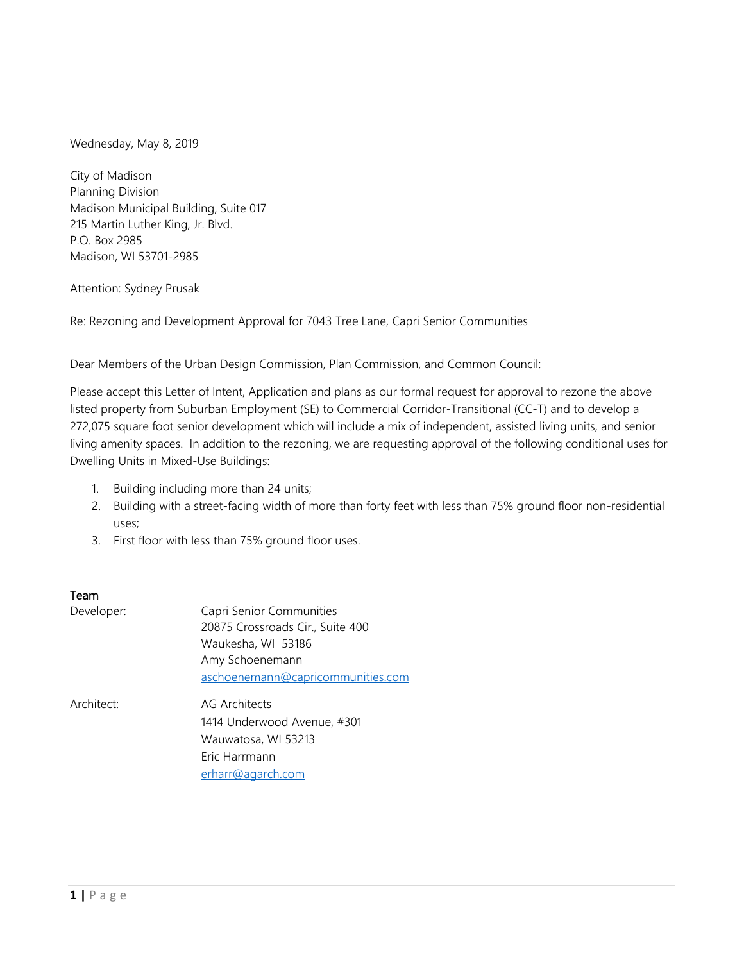Wednesday, May 8, 2019

City of Madison Planning Division Madison Municipal Building, Suite 017 215 Martin Luther King, Jr. Blvd. P.O. Box 2985 Madison, WI 53701-2985

#### Attention: Sydney Prusak

Re: Rezoning and Development Approval for 7043 Tree Lane, Capri Senior Communities

Dear Members of the Urban Design Commission, Plan Commission, and Common Council:

Please accept this Letter of Intent, Application and plans as our formal request for approval to rezone the above listed property from Suburban Employment (SE) to Commercial Corridor-Transitional (CC-T) and to develop a 272,075 square foot senior development which will include a mix of independent, assisted living units, and senior living amenity spaces. In addition to the rezoning, we are requesting approval of the following conditional uses for Dwelling Units in Mixed-Use Buildings:

- 1. Building including more than 24 units;
- 2. Building with a street-facing width of more than forty feet with less than 75% ground floor non-residential uses;
- 3. First floor with less than 75% ground floor uses.

## Team

| Developer: | Capri Senior Communities          |
|------------|-----------------------------------|
|            | 20875 Crossroads Cir., Suite 400  |
|            | Waukesha, WI 53186                |
|            | Amy Schoenemann                   |
|            | aschoenemann@capricommunities.com |
| Architect: | <b>AG Architects</b>              |
|            | 1414 Underwood Avenue, #301       |
|            | Wauwatosa, WI 53213               |
|            | Eric Harrmann                     |
|            | erharr@agarch.com                 |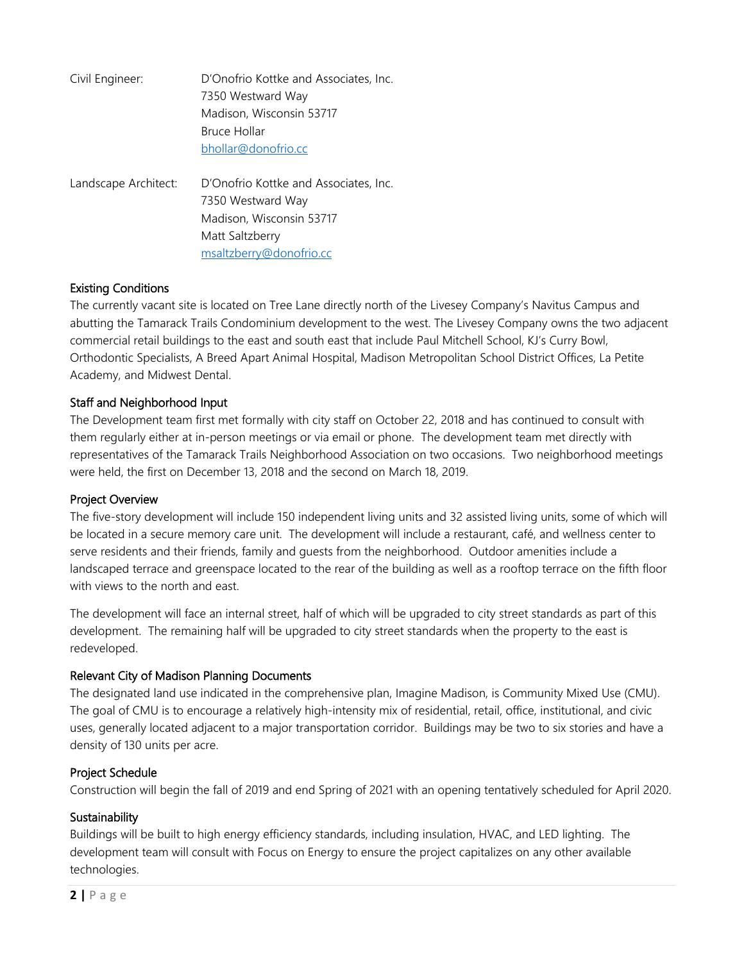| Civil Engineer:      | D'Onofrio Kottke and Associates, Inc.<br>7350 Westward Way<br>Madison, Wisconsin 53717<br>Bruce Hollar<br>bhollar@donofrio.cc        |
|----------------------|--------------------------------------------------------------------------------------------------------------------------------------|
| Landscape Architect: | D'Onofrio Kottke and Associates, Inc.<br>7350 Westward Way<br>Madison, Wisconsin 53717<br>Matt Saltzberry<br>msaltzberry@donofrio.cc |

## Existing Conditions

The currently vacant site is located on Tree Lane directly north of the Livesey Company's Navitus Campus and abutting the Tamarack Trails Condominium development to the west. The Livesey Company owns the two adjacent commercial retail buildings to the east and south east that include Paul Mitchell School, KJ's Curry Bowl, Orthodontic Specialists, A Breed Apart Animal Hospital, Madison Metropolitan School District Offices, La Petite Academy, and Midwest Dental.

## Staff and Neighborhood Input

The Development team first met formally with city staff on October 22, 2018 and has continued to consult with them regularly either at in-person meetings or via email or phone. The development team met directly with representatives of the Tamarack Trails Neighborhood Association on two occasions. Two neighborhood meetings were held, the first on December 13, 2018 and the second on March 18, 2019.

## Project Overview

The five-story development will include 150 independent living units and 32 assisted living units, some of which will be located in a secure memory care unit. The development will include a restaurant, café, and wellness center to serve residents and their friends, family and guests from the neighborhood. Outdoor amenities include a landscaped terrace and greenspace located to the rear of the building as well as a rooftop terrace on the fifth floor with views to the north and east.

The development will face an internal street, half of which will be upgraded to city street standards as part of this development. The remaining half will be upgraded to city street standards when the property to the east is redeveloped.

## Relevant City of Madison Planning Documents

The designated land use indicated in the comprehensive plan, Imagine Madison, is Community Mixed Use (CMU). The goal of CMU is to encourage a relatively high-intensity mix of residential, retail, office, institutional, and civic uses, generally located adjacent to a major transportation corridor. Buildings may be two to six stories and have a density of 130 units per acre.

#### Project Schedule

Construction will begin the fall of 2019 and end Spring of 2021 with an opening tentatively scheduled for April 2020.

#### **Sustainability**

Buildings will be built to high energy efficiency standards, including insulation, HVAC, and LED lighting. The development team will consult with Focus on Energy to ensure the project capitalizes on any other available technologies.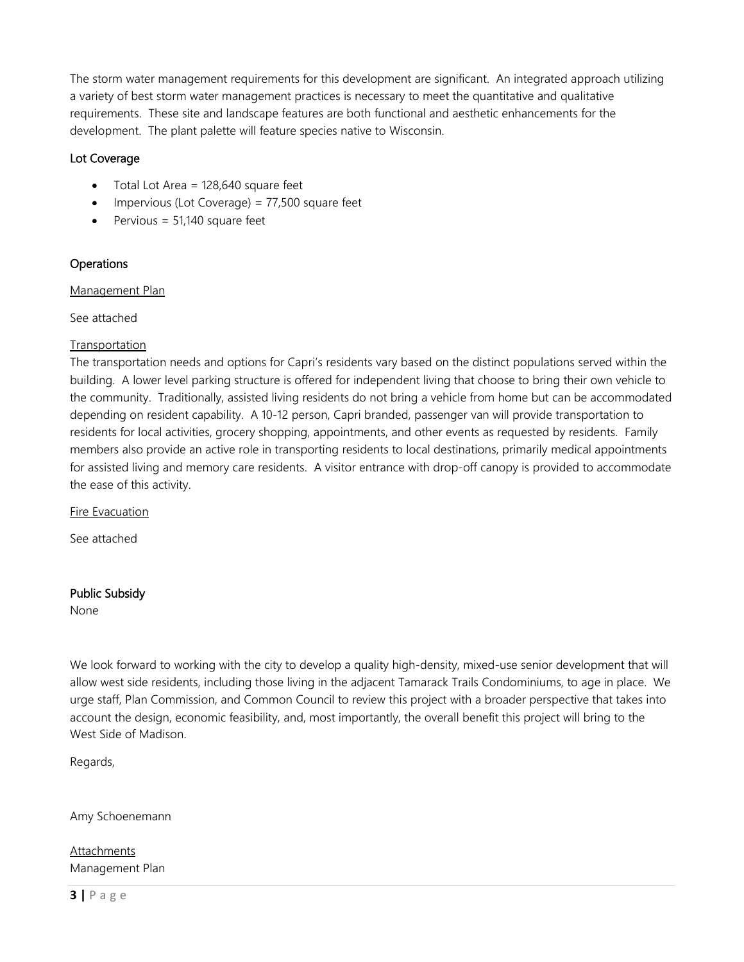The storm water management requirements for this development are significant. An integrated approach utilizing a variety of best storm water management practices is necessary to meet the quantitative and qualitative requirements. These site and landscape features are both functional and aesthetic enhancements for the development. The plant palette will feature species native to Wisconsin.

# Lot Coverage

- Total Lot Area = 128,640 square feet
- Impervious (Lot Coverage) = 77,500 square feet
- Pervious =  $51,140$  square feet

# **Operations**

### Management Plan

See attached

## **Transportation**

The transportation needs and options for Capri's residents vary based on the distinct populations served within the building. A lower level parking structure is offered for independent living that choose to bring their own vehicle to the community. Traditionally, assisted living residents do not bring a vehicle from home but can be accommodated depending on resident capability. A 10-12 person, Capri branded, passenger van will provide transportation to residents for local activities, grocery shopping, appointments, and other events as requested by residents. Family members also provide an active role in transporting residents to local destinations, primarily medical appointments for assisted living and memory care residents. A visitor entrance with drop-off canopy is provided to accommodate the ease of this activity.

Fire Evacuation

See attached

## Public Subsidy

None

We look forward to working with the city to develop a quality high-density, mixed-use senior development that will allow west side residents, including those living in the adjacent Tamarack Trails Condominiums, to age in place. We urge staff, Plan Commission, and Common Council to review this project with a broader perspective that takes into account the design, economic feasibility, and, most importantly, the overall benefit this project will bring to the West Side of Madison.

Regards,

Amy Schoenemann

**Attachments** Management Plan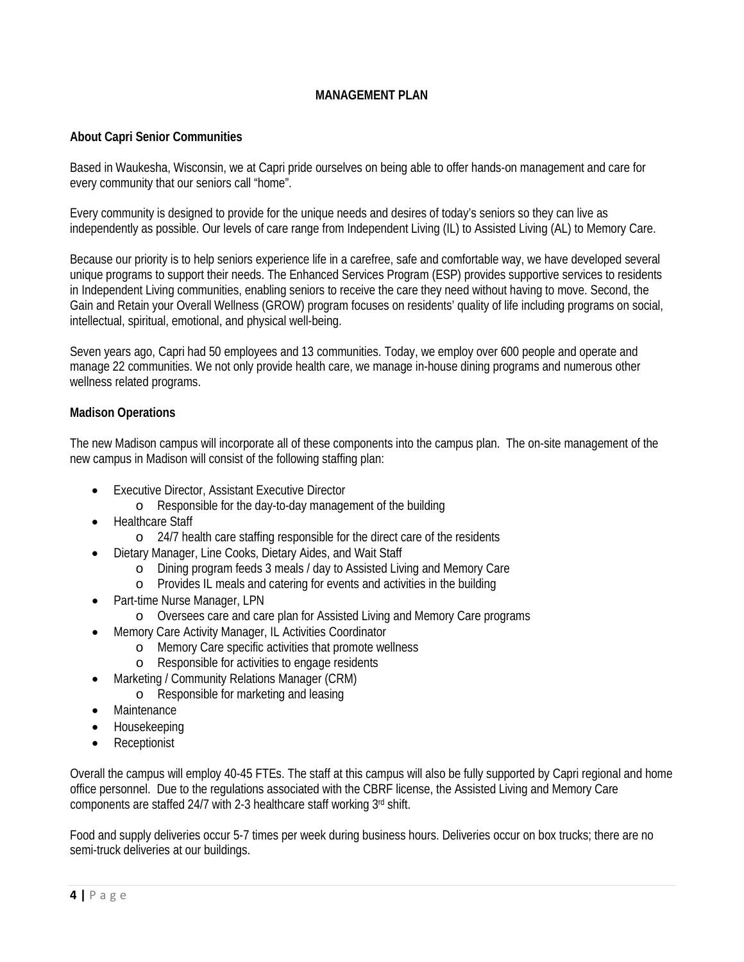# **MANAGEMENT PLAN**

### **About Capri Senior Communities**

Based in Waukesha, Wisconsin, we at Capri pride ourselves on being able to offer hands-on management and care for every community that our seniors call "home".

Every community is designed to provide for the unique needs and desires of today's seniors so they can live as independently as possible. Our levels of care range from Independent Living (IL) to Assisted Living (AL) to Memory Care.

Because our priority is to help seniors experience life in a carefree, safe and comfortable way, we have developed several unique programs to support their needs. The Enhanced Services Program (ESP) provides supportive services to residents in Independent Living communities, enabling seniors to receive the care they need without having to move. Second, the Gain and Retain your Overall Wellness (GROW) program focuses on residents' quality of life including programs on social, intellectual, spiritual, emotional, and physical well-being.

Seven years ago, Capri had 50 employees and 13 communities. Today, we employ over 600 people and operate and manage 22 communities. We not only provide health care, we manage in-house dining programs and numerous other wellness related programs.

### **Madison Operations**

The new Madison campus will incorporate all of these components into the campus plan. The on-site management of the new campus in Madison will consist of the following staffing plan:

- Executive Director, Assistant Executive Director
	- o Responsible for the day-to-day management of the building
- Healthcare Staff
	- o 24/7 health care staffing responsible for the direct care of the residents
- Dietary Manager, Line Cooks, Dietary Aides, and Wait Staff
	- o Dining program feeds 3 meals / day to Assisted Living and Memory Care
	- o Provides IL meals and catering for events and activities in the building
- Part-time Nurse Manager, LPN
	- o Oversees care and care plan for Assisted Living and Memory Care programs
- Memory Care Activity Manager, IL Activities Coordinator
	- o Memory Care specific activities that promote wellness
	- o Responsible for activities to engage residents
- Marketing / Community Relations Manager (CRM)
	- o Responsible for marketing and leasing
- Maintenance
- Housekeeping
- Receptionist

Overall the campus will employ 40-45 FTEs. The staff at this campus will also be fully supported by Capri regional and home office personnel. Due to the regulations associated with the CBRF license, the Assisted Living and Memory Care components are staffed 24/7 with 2-3 healthcare staff working 3rd shift.

Food and supply deliveries occur 5-7 times per week during business hours. Deliveries occur on box trucks; there are no semi-truck deliveries at our buildings.